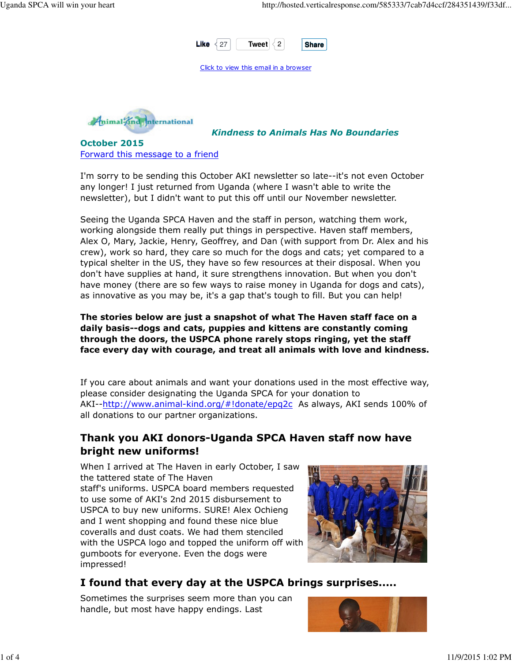

Click to view this email in a browser



Kindness to Animals Has No Boundaries

October 2015 Forward this message to a friend

I'm sorry to be sending this October AKI newsletter so late--it's not even October any longer! I just returned from Uganda (where I wasn't able to write the newsletter), but I didn't want to put this off until our November newsletter.

Seeing the Uganda SPCA Haven and the staff in person, watching them work, working alongside them really put things in perspective. Haven staff members, Alex O, Mary, Jackie, Henry, Geoffrey, and Dan (with support from Dr. Alex and his crew), work so hard, they care so much for the dogs and cats; yet compared to a typical shelter in the US, they have so few resources at their disposal. When you don't have supplies at hand, it sure strengthens innovation. But when you don't have money (there are so few ways to raise money in Uganda for dogs and cats), as innovative as you may be, it's a gap that's tough to fill. But you can help!

The stories below are just a snapshot of what The Haven staff face on a daily basis--dogs and cats, puppies and kittens are constantly coming through the doors, the USPCA phone rarely stops ringing, yet the staff face every day with courage, and treat all animals with love and kindness.

If you care about animals and want your donations used in the most effective way, please consider designating the Uganda SPCA for your donation to AKI--http://www.animal-kind.org/#!donate/epq2c As always, AKI sends 100% of all donations to our partner organizations.

### Thank you AKI donors-Uganda SPCA Haven staff now have bright new uniforms!

When I arrived at The Haven in early October, I saw the tattered state of The Haven staff's uniforms. USPCA board members requested to use some of AKI's 2nd 2015 disbursement to USPCA to buy new uniforms. SURE! Alex Ochieng and I went shopping and found these nice blue coveralls and dust coats. We had them stenciled with the USPCA logo and topped the uniform off with gumboots for everyone. Even the dogs were impressed!



## I found that every day at the USPCA brings surprises.....

Sometimes the surprises seem more than you can handle, but most have happy endings. Last

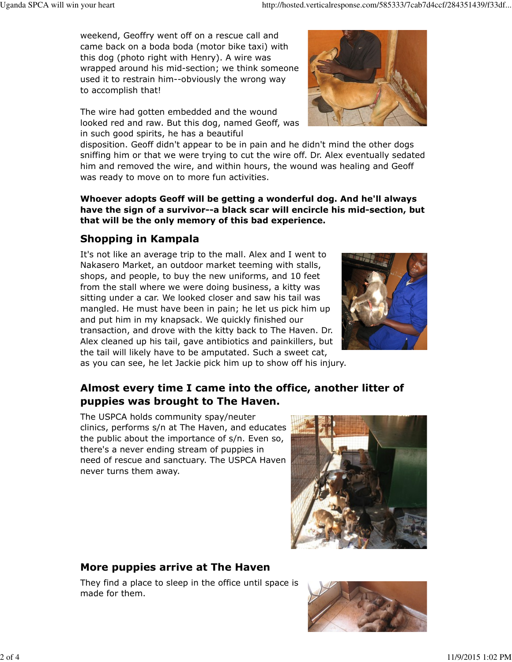weekend, Geoffry went off on a rescue call and came back on a boda boda (motor bike taxi) with this dog (photo right with Henry). A wire was wrapped around his mid-section; we think someone used it to restrain him--obviously the wrong way to accomplish that!

The wire had gotten embedded and the wound looked red and raw. But this dog, named Geoff, was in such good spirits, he has a beautiful

disposition. Geoff didn't appear to be in pain and he didn't mind the other dogs sniffing him or that we were trying to cut the wire off. Dr. Alex eventually sedated him and removed the wire, and within hours, the wound was healing and Geoff was ready to move on to more fun activities.

Whoever adopts Geoff will be getting a wonderful dog. And he'll always have the sign of a survivor--a black scar will encircle his mid-section, but that will be the only memory of this bad experience.

# Shopping in Kampala

It's not like an average trip to the mall. Alex and I went to Nakasero Market, an outdoor market teeming with stalls, shops, and people, to buy the new uniforms, and 10 feet from the stall where we were doing business, a kitty was sitting under a car. We looked closer and saw his tail was mangled. He must have been in pain; he let us pick him up and put him in my knapsack. We quickly finished our transaction, and drove with the kitty back to The Haven. Dr. Alex cleaned up his tail, gave antibiotics and painkillers, but the tail will likely have to be amputated. Such a sweet cat, as you can see, he let Jackie pick him up to show off his injury.

## Almost every time I came into the office, another litter of puppies was brought to The Haven.

The USPCA holds community spay/neuter clinics, performs s/n at The Haven, and educates the public about the importance of s/n. Even so, there's a never ending stream of puppies in need of rescue and sanctuary. The USPCA Haven never turns them away.



## More puppies arrive at The Haven

They find a place to sleep in the office until space is made for them.



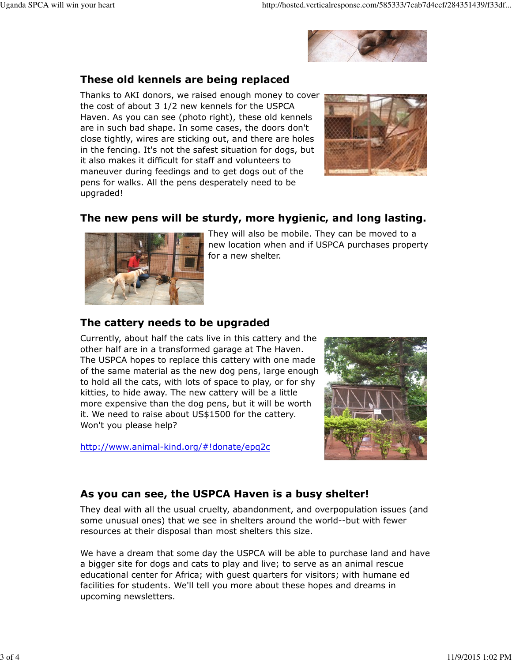

### These old kennels are being replaced

Thanks to AKI donors, we raised enough money to cover the cost of about 3 1/2 new kennels for the USPCA Haven. As you can see (photo right), these old kennels are in such bad shape. In some cases, the doors don't close tightly, wires are sticking out, and there are holes in the fencing. It's not the safest situation for dogs, but it also makes it difficult for staff and volunteers to maneuver during feedings and to get dogs out of the pens for walks. All the pens desperately need to be upgraded!



### The new pens will be sturdy, more hygienic, and long lasting.



They will also be mobile. They can be moved to a new location when and if USPCA purchases property for a new shelter.

### The cattery needs to be upgraded

Currently, about half the cats live in this cattery and the other half are in a transformed garage at The Haven. The USPCA hopes to replace this cattery with one made of the same material as the new dog pens, large enough to hold all the cats, with lots of space to play, or for shy kitties, to hide away. The new cattery will be a little more expensive than the dog pens, but it will be worth it. We need to raise about US\$1500 for the cattery. Won't you please help?

http://www.animal-kind.org/#!donate/epq2c



#### As you can see, the USPCA Haven is a busy shelter!

They deal with all the usual cruelty, abandonment, and overpopulation issues (and some unusual ones) that we see in shelters around the world--but with fewer resources at their disposal than most shelters this size.

We have a dream that some day the USPCA will be able to purchase land and have a bigger site for dogs and cats to play and live; to serve as an animal rescue educational center for Africa; with guest quarters for visitors; with humane ed facilities for students. We'll tell you more about these hopes and dreams in upcoming newsletters.